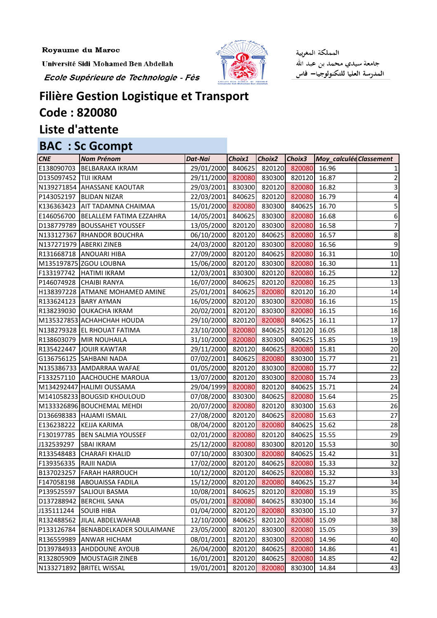Royaume du Maroc

Université Sidi Mohamed Ben Abdellah

Ecole Supérieure de Technologie - Fès



المملكة المغربية جامعة سيدي محمد بن عبد الله المدرسة العليا للتكنولوجيا— فاس

## **Filière Gestion Logistique et Transport**

## **Code : 820080**

## **Liste d'attente**

## **BAC : Sc Gcompt**

| <b>CNE</b>            | <b>Nom Prénom</b>                    | Dat-Nai                               | Choix1 | Choix <sub>2</sub> |                     | Choix3 Moy_calculée Classement |                |
|-----------------------|--------------------------------------|---------------------------------------|--------|--------------------|---------------------|--------------------------------|----------------|
|                       | E138090703 BELBARAKA IKRAM           | 29/01/2000 840625 820120 820080 16.96 |        |                    |                     |                                |                |
| D135097452 TIJI IKRAM |                                      | 29/11/2000 820080                     |        |                    | 830300 820120 16.87 |                                | 2              |
|                       | N139271854 AHASSANE KAOUTAR          | 29/03/2001 830300 820120 820080       |        |                    |                     | 16.82                          | 3              |
| P143052197            | <b>BLIDAN NIZAR</b>                  | 22/03/2001 840625 820120 820080       |        |                    |                     | 16.79                          | 4              |
|                       | K136363423 AIT TADAMNA CHAIMAA       | 15/01/2000 820080 830300 840625       |        |                    |                     | 16.70                          | 5              |
|                       | E146056700   BELALLEM FATIMA EZZAHRA | 14/05/2001 840625 830300 820080 16.68 |        |                    |                     |                                | 6              |
|                       | D138779789   BOUSSAHET YOUSSEF       | 13/05/2000 820120 830300 820080       |        |                    |                     | 16.58                          | 7              |
|                       | N133127367 RHANDOR BOUCHRA           | 06/10/2000 820120                     |        |                    | 840625 820080       | 16.57                          | 8 <sup>1</sup> |
|                       | N137271979 ABERKI ZINEB              | 24/03/2000 820120 830300 820080 16.56 |        |                    |                     |                                | $\overline{9}$ |
|                       | R131668718 ANOUARI HIBA              | 27/09/2000 820120 840625 820080       |        |                    |                     | 16.31                          | $10\,$         |
|                       | M135197875 ZGOU LOUBNA               | 15/06/2000 820120 830300 820080 16.30 |        |                    |                     |                                | 11             |
|                       | F133197742  HATIMI IKRAM             | 12/03/2001 830300 820120 820080       |        |                    |                     | 16.25                          | 12             |
|                       | P146074928 CHAIBI RANYA              | 16/07/2000 840625                     |        |                    | 820120 820080       | 16.25                          | 13             |
|                       | H138397228 ATMANE MOHAMED AMINE      | 25/01/2001 840625 820080 820120 16.20 |        |                    |                     |                                | 14             |
|                       | R133624123   BARY AYMAN              | 16/05/2000 820120 830300 820080       |        |                    |                     | 16.16                          | 15             |
|                       | R138239030 OUKACHA IKRAM             | 20/02/2001 820120 830300 820080 16.15 |        |                    |                     |                                | 16             |
|                       | M135327853 ACHAHCHAH HOUDA           | 29/10/2000 820120 820080 840625 16.11 |        |                    |                     |                                | 17             |
|                       | N138279328 EL RHOUAT FATIMA          | 23/10/2000 820080                     |        |                    | 840625 820120       | 16.05                          | 18             |
|                       | R138603079 MIR NOUHAILA              | 31/10/2000 820080 830300 840625 15.85 |        |                    |                     |                                | 19             |
|                       | R135422447 JOUIR KAWTAR              | 29/11/2000 820120 840625 820080       |        |                    |                     | 15.81                          | 20             |
|                       | G136756125 SAHBANI NADA              | 07/02/2001 840625 820080 830300 15.77 |        |                    |                     |                                | 21             |
|                       | N135386733 AMDARRAA WAFAE            | 01/05/2000 820120 830300 820080       |        |                    |                     | 15.77                          | 22             |
|                       | F133257110 AACHOUCHE MAROUA          | 13/07/2000 820120 830300 820080       |        |                    |                     | 15.74                          | 23             |
|                       | M134292447 HALIMI OUSSAMA            | 29/04/1999 820080 820120 840625 15.71 |        |                    |                     |                                | 24             |
|                       | M141058233 BOUGSID KHOULOUD          | 07/08/2000 830300 840625 820080       |        |                    |                     | 15.64                          | 25             |
|                       | M133326896 BOUCHEMAL MEHDI           | 20/07/2000 820080 820120 830300 15.63 |        |                    |                     |                                | 26             |
|                       | D136698383 HAJAMI ISMAIL             | 27/08/2000 820120                     |        |                    | 840625 820080       | 15.63                          | 27             |
|                       | E136238222 KEJJA KARIMA              | 08/04/2000 820120                     |        | 820080             | 840625              | 15.62                          | 28             |
|                       | F130197785  BEN SALMIA YOUSSEF       | 02/01/2000 820080                     |        |                    | 820120 840625 15.55 |                                | 29             |
| J132539297            | <b>SBAI IKRAM</b>                    | 25/12/2000 820080                     |        |                    | 830300 820120 15.53 |                                | 30             |
| R133548483            | <b>CHARAFI KHALID</b>                | 07/10/2000                            | 830300 | 820080             | 840625 15.42        |                                | 31             |
| F139356335            | <b>RAJII NADIA</b>                   | 17/02/2000                            | 820120 | 840625             | 820080              | 15.33                          | 32             |
| B137023257            | <b>FARAH HARROUCH</b>                | 10/12/2000                            | 820120 | 840625             | 820080              | 15.32                          | 33             |
| F147058198            | <b>ABOUAISSA FADILA</b>              | 15/12/2000                            | 820120 | 820080             | 840625              | 15.27                          | 34             |
| P139525597            | <b>SALIOUI BASMA</b>                 | 10/08/2001                            | 840625 | 820120             | 820080              | 15.19                          | 35             |
| D137288942            | <b>BERCHIL SANA</b>                  | 05/01/2001                            | 820080 | 840625             | 830300              | 15.14                          | 36             |
| J135111244            | <b>SOUIB HIBA</b>                    | 01/04/2000                            | 820120 | 820080             | 830300              | 15.10                          | 37             |
| R132488562            | JILAL ABDELWAHAB                     | 12/10/2000                            | 840625 | 820120             | 820080              | 15.09                          | 38             |
| P133126784            | BENABDELKADER SOULAIMANE             | 23/05/2000                            | 820120 | 830300             | 820080              | 15.05                          | 39             |
| R136559989            | <b>ANWAR HICHAM</b>                  | 08/01/2001                            | 820120 | 830300             | 820080              | 14.96                          | 40             |
| D139784933            | <b>AHDDOUNE AYOUB</b>                | 26/04/2000                            | 820120 | 840625             | 820080              | 14.86                          | 41             |
| R132805909            | <b>MOUSTAGIR ZINEB</b>               | 16/01/2001                            | 820120 | 840625             | 820080              | 14.85                          | 42             |
| N133271892            | <b>BRITEL WISSAL</b>                 | 19/01/2001                            | 820120 | 820080             | 830300              | 14.84                          | 43             |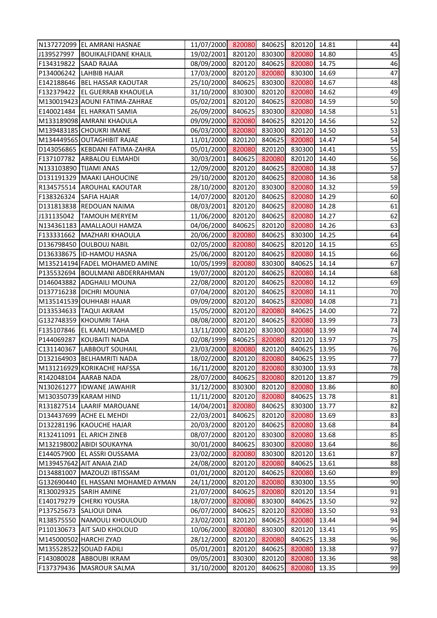|                        | N137272099 EL AMRANI HASNAE         | 11/07/2000 820080 840625 820120 14.81 |        |        |              |       | 44 |
|------------------------|-------------------------------------|---------------------------------------|--------|--------|--------------|-------|----|
| J139527997             | <b>BOUIKALFIDANE KHALIL</b>         | 19/02/2001 820120 830300 820080 14.80 |        |        |              |       | 45 |
| F134319822             | <b>SAAD RAJAA</b>                   | 08/09/2000 820120 840625 820080 14.75 |        |        |              |       | 46 |
| P134006242             | <b>LAHBIB HAJAR</b>                 | 17/03/2000 820120 820080 830300 14.69 |        |        |              |       | 47 |
|                        | E142188646   BEL HASSAR KAOUTAR     | 25/10/2000 840625 830300 820080       |        |        |              | 14.67 | 48 |
|                        | F132379422 EL GUERRAB KHAOUELA      | 31/10/2000 830300 820120 820080 14.62 |        |        |              |       | 49 |
|                        | M130019423 AOUNI FATIMA-ZAHRAE      | 05/02/2001 820120 840625 820080 14.59 |        |        |              |       | 50 |
|                        | E140021484 EL HARKATI SAMIA         | 26/09/2000 840625 830300 820080       |        |        |              | 14.58 | 51 |
|                        | M133189098 AMRANI KHAOULA           | 09/09/2000 820080                     |        | 840625 | 820120       | 14.56 | 52 |
|                        | M139483185 CHOUKRI IMANE            | 06/03/2000 820080 830300 820120 14.50 |        |        |              |       | 53 |
|                        | M134449565 OUTAGHIBIT RAJAE         | 11/01/2000 820120 840625 820080 14.47 |        |        |              |       | 54 |
|                        | D143056865 KEBDANI FATIMA-ZAHRA     | 05/01/2000 820080 820120 830300 14.41 |        |        |              |       | 55 |
| F137107782             | <b>ARBALOU ELMAHDI</b>              | 30/03/2001 840625 820080 820120       |        |        |              | 14.40 | 56 |
| N133103890 TIJAMI ANAS |                                     | 12/09/2000 820120 840625              |        |        | 820080       | 14.38 | 57 |
|                        | D131191329 MAAKI LAHOUCINE          | 29/10/2000 820120 840625 820080 14.36 |        |        |              |       | 58 |
|                        | R134575514 AROUHAL KAOUTAR          | 28/10/2000 820120 830300 820080 14.32 |        |        |              |       | 59 |
| F138326324             | <b>SAFIA HAJAR</b>                  | 14/07/2000 820120 840625 820080 14.29 |        |        |              |       | 60 |
|                        | D131813838 REDOUAN NAIMA            | 08/03/2001 820120 840625 820080       |        |        |              | 14.28 | 61 |
| J131135042             | <b>TAMOUH MERYEM</b>                | 11/06/2000 820120 840625 820080 14.27 |        |        |              |       | 62 |
|                        | N134361183 AMALLAOUI HAMZA          | 04/06/2000 840625 820120 820080 14.26 |        |        |              |       | 63 |
|                        | F133331662   MAZHARI KHAOULA        | 20/06/2000 820080 840625 830300 14.25 |        |        |              |       | 64 |
|                        | D136798450 OULBOUJ NABIL            | 02/05/2000 820080 840625 820120 14.15 |        |        |              |       | 65 |
|                        | D136338675 ID-HAMOU HASNA           | 25/06/2000 820120 840625 820080       |        |        |              | 14.15 | 66 |
|                        | M135214194 FADEL MOHAMED AMINE      | 10/05/1999 820080 830300              |        |        | 840625 14.14 |       | 67 |
|                        | P135532694 BOULMANI ABDERRAHMAN     | 19/07/2000 820120 840625 820080 14.14 |        |        |              |       | 68 |
|                        | D146043882 ADGHAILI MOUNA           | 22/08/2000 820120 840625              |        |        | 820080 14.12 |       | 69 |
|                        | D137716238 DICHRI MOUNIA            | 07/04/2000 820120 840625              |        |        | 820080       | 14.11 | 70 |
|                        | M135141539 OUHHABI HAJAR            | 09/09/2000 820120 840625              |        |        | 820080       | 14.08 | 71 |
|                        | D133534633 TAQUI AKRAM              | 15/05/2000 820120 820080              |        |        | 840625       | 14.00 | 72 |
|                        | G132748359 KHOUMRI TAHA             | 08/08/2000 820120 840625 820080 13.99 |        |        |              |       | 73 |
|                        | F135107846 EL KAMLI MOHAMED         | 13/11/2000 820120                     |        | 830300 | 820080 13.99 |       | 74 |
| P144069287             | KOUBAITI NADA                       | 02/08/1999                            | 840625 | 820080 | 820120 13.97 |       | 75 |
| C131140367             | <b>LABBOUT SOUHAIL</b>              | 23/03/2000                            | 820080 | 820120 | 840625       | 13.95 | 76 |
|                        | D132164903 BELHAMRITI NADA          | 18/02/2000                            | 820120 | 820080 | 840625       | 13.95 | 77 |
|                        | M131216929 KORIKACHE HAFSSA         | 16/11/2000                            | 820120 | 820080 | 830300       | 13.93 | 78 |
|                        | R142048104 AARAB NADA               | 28/07/2000                            | 840625 | 820080 | 820120       | 13.87 | 79 |
|                        | N130261277 IDWANE JAWAHIR           | 31/12/2000                            | 830300 | 820120 | 820080       | 13.86 | 80 |
| M130350739 KARAM HIND  |                                     | 11/11/2000                            | 820120 | 820080 | 840625       | 13.78 | 81 |
|                        | R131827514 LAARIF MAROUANE          | 14/04/2001                            | 820080 | 840625 | 830300       | 13.77 | 82 |
|                        | D134437699 ACHE EL MEHDI            | 22/03/2001                            | 840625 | 820120 | 820080       | 13.69 | 83 |
|                        | D132281196 KAOUCHE HAJAR            | 20/03/2000                            | 820120 | 840625 | 820080       | 13.68 | 84 |
| R132411091             | <b>EL ARICH ZINEB</b>               | 08/07/2000                            | 820120 | 830300 | 820080       | 13.68 | 85 |
|                        | M132198002 ABIDI SOUKAYNA           | 30/01/2000                            | 840625 | 830300 | 820080       | 13.64 | 86 |
| E144057900             | <b>EL ASSRI OUSSAMA</b>             | 23/02/2000                            | 820080 | 830300 | 820120       | 13.61 | 87 |
|                        | M139457642 AIT ANAIA ZIAD           | 24/08/2000                            | 820120 | 820080 | 840625       | 13.61 | 88 |
| D134881007             | MAZOUZI IBTISSAM                    | 01/01/2000                            | 820120 | 840625 | 820080       | 13.60 | 89 |
|                        | G132690440 EL HASSANI MOHAMED AYMAN | 24/11/2000                            | 820120 | 820080 | 830300       | 13.55 | 90 |
| R130029325             | <b>SARIH AMINE</b>                  | 21/07/2000                            | 840625 | 820080 | 820120       | 13.54 | 91 |
| E140179279             | <b>CHERKI YOUSRA</b>                | 18/07/2000                            | 820080 | 830300 | 840625       | 13.50 | 92 |
| P137525673             | <b>SALIOUI DINA</b>                 | 06/07/2000                            | 840625 | 820120 | 820080       | 13.50 | 93 |
| R138575550             | <b>NAMOULI KHOULOUD</b>             | 23/02/2001                            | 820120 | 840625 | 820080       | 13.44 | 94 |
| P110130673             | <b>AIT SAID KHOLOUD</b>             | 10/06/2000                            | 820080 | 830300 | 820120       | 13.41 | 95 |
|                        | M145000502 HARCHI ZYAD              | 28/12/2000                            | 820120 | 820080 | 840625       | 13.38 | 96 |
|                        | M135528522 SOUAD FADILI             | 05/01/2001                            | 820120 | 840625 | 820080       | 13.38 | 97 |
| F143080028             | <b>ABBOUBI IKRAM</b>                | 09/05/2001                            | 830300 | 820120 | 820080       | 13.36 | 98 |
| F137379436             | MASROUR SALMA                       | 31/10/2000                            | 820120 | 840625 | 820080       | 13.35 | 99 |
|                        |                                     |                                       |        |        |              |       |    |